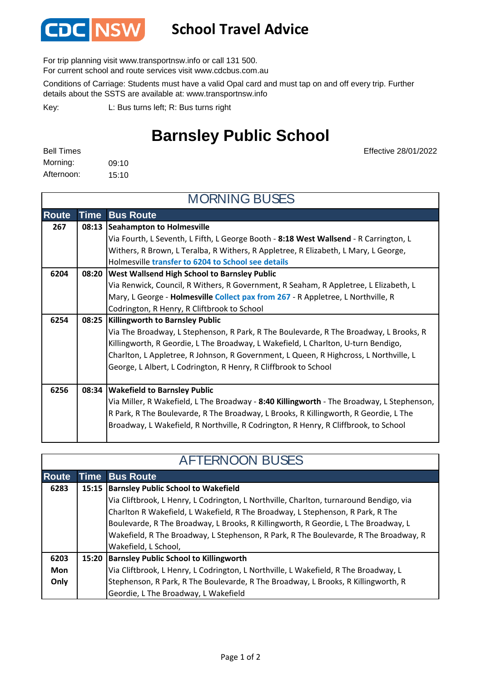

## **School Travel Advice**

For trip planning visit www.transportnsw.info or call 131 500.

For current school and route services visit www.cdcbus.com.au

Conditions of Carriage: Students must have a valid Opal card and must tap on and off every trip. Further details about the SSTS are available at: www.transportnsw.info

L: Bus turns left; R: Bus turns right Key:

## **Barnsley Public School**

| <b>Bell Times</b> |       |
|-------------------|-------|
| Morning:          | 09:10 |
| Afternoon:        | 15:10 |

Effective 28/01/2022

| <b>MORNING BUSES</b> |             |                                                                                           |  |
|----------------------|-------------|-------------------------------------------------------------------------------------------|--|
| <b>Route</b>         | <b>Time</b> | <b>Bus Route</b>                                                                          |  |
| 267                  | 08:13       | Seahampton to Holmesville                                                                 |  |
|                      |             | Via Fourth, L Seventh, L Fifth, L George Booth - 8:18 West Wallsend - R Carrington, L     |  |
|                      |             | Withers, R Brown, L Teralba, R Withers, R Appletree, R Elizabeth, L Mary, L George,       |  |
|                      |             | Holmesville transfer to 6204 to School see details                                        |  |
| 6204                 |             | 08:20   West Wallsend High School to Barnsley Public                                      |  |
|                      |             | Via Renwick, Council, R Withers, R Government, R Seaham, R Appletree, L Elizabeth, L      |  |
|                      |             | Mary, L George - Holmesville Collect pax from 267 - R Appletree, L Northville, R          |  |
|                      |             | Codrington, R Henry, R Cliftbrook to School                                               |  |
| 6254                 |             | 08:25   Killingworth to Barnsley Public                                                   |  |
|                      |             | Via The Broadway, L Stephenson, R Park, R The Boulevarde, R The Broadway, L Brooks, R     |  |
|                      |             | Killingworth, R Geordie, L The Broadway, L Wakefield, L Charlton, U-turn Bendigo,         |  |
|                      |             | Charlton, L Appletree, R Johnson, R Government, L Queen, R Highcross, L Northville, L     |  |
|                      |             | George, L Albert, L Codrington, R Henry, R Cliffbrook to School                           |  |
|                      |             |                                                                                           |  |
| 6256                 |             | 08:34   Wakefield to Barnsley Public                                                      |  |
|                      |             | Via Miller, R Wakefield, L The Broadway - 8:40 Killingworth - The Broadway, L Stephenson, |  |
|                      |             | R Park, R The Boulevarde, R The Broadway, L Brooks, R Killingworth, R Geordie, L The      |  |
|                      |             | Broadway, L Wakefield, R Northville, R Codrington, R Henry, R Cliffbrook, to School       |  |

| <b>AFTERNOON BUSES</b> |  |                                                                                        |  |
|------------------------|--|----------------------------------------------------------------------------------------|--|
| <b>Route</b>           |  | <b>Time Bus Route</b>                                                                  |  |
| 6283                   |  | 15:15  Barnsley Public School to Wakefield                                             |  |
|                        |  | Via Cliftbrook, L Henry, L Codrington, L Northville, Charlton, turnaround Bendigo, via |  |
|                        |  | Charlton R Wakefield, L Wakefield, R The Broadway, L Stephenson, R Park, R The         |  |
|                        |  | Boulevarde, R The Broadway, L Brooks, R Killingworth, R Geordie, L The Broadway, L     |  |
|                        |  | Wakefield, R The Broadway, L Stephenson, R Park, R The Boulevarde, R The Broadway, R   |  |
|                        |  | Wakefield, L School,                                                                   |  |
| 6203                   |  | 15:20 Barnsley Public School to Killingworth                                           |  |
| Mon                    |  | Via Cliftbrook, L Henry, L Codrington, L Northville, L Wakefield, R The Broadway, L    |  |
| Only                   |  | Stephenson, R Park, R The Boulevarde, R The Broadway, L Brooks, R Killingworth, R      |  |
|                        |  | Geordie, L The Broadway, L Wakefield                                                   |  |